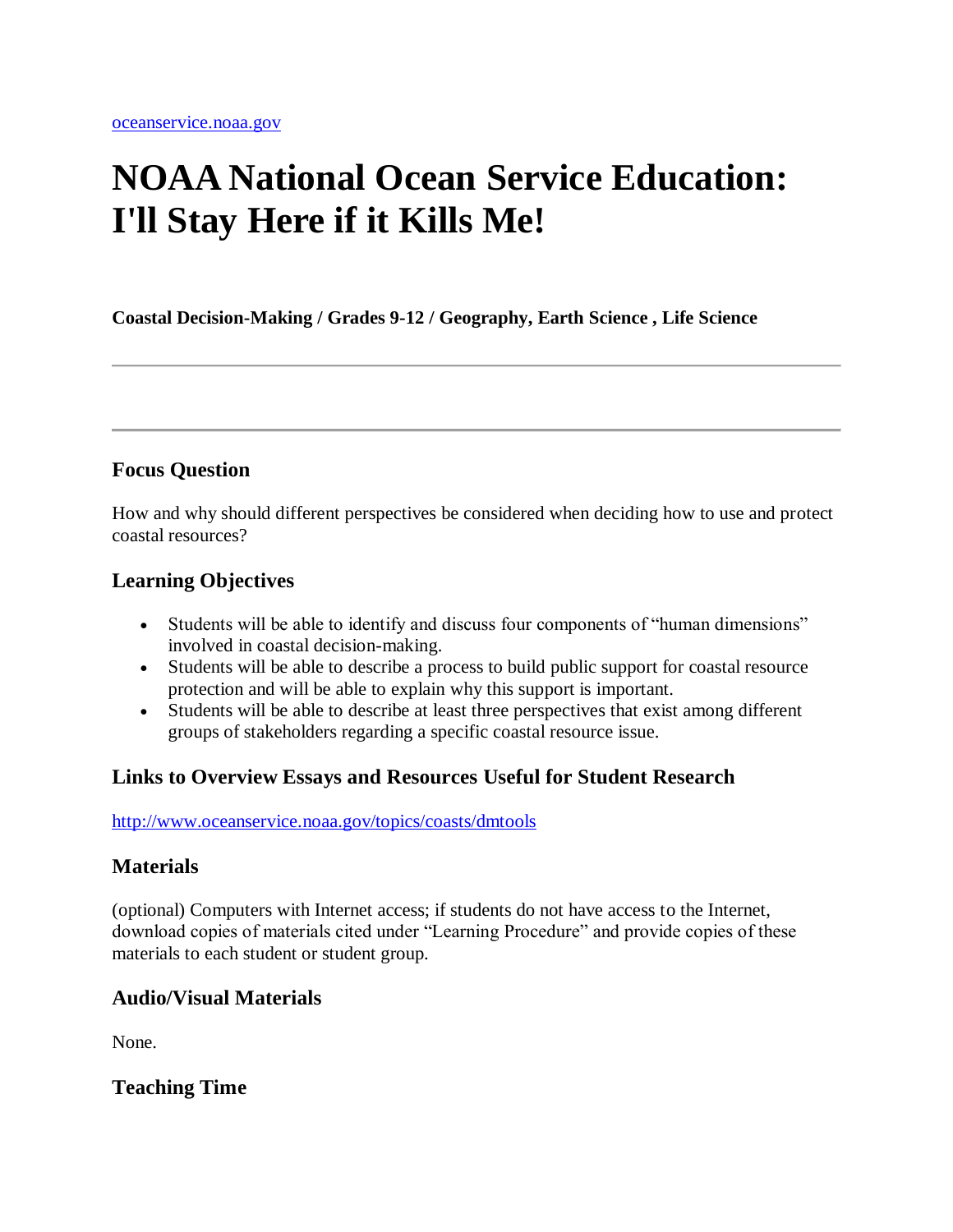# **NOAA National Ocean Service Education: I'll Stay Here if it Kills Me!**

**Coastal Decision-Making / Grades 9-12 / Geography, Earth Science , Life Science**

### **Focus Question**

How and why should different perspectives be considered when deciding how to use and protect coastal resources?

### **Learning Objectives**

- Students will be able to identify and discuss four components of "human dimensions" involved in coastal decision-making.
- Students will be able to describe a process to build public support for coastal resource protection and will be able to explain why this support is important.
- Students will be able to describe at least three perspectives that exist among different groups of stakeholders regarding a specific coastal resource issue.

### **Links to Overview Essays and Resources Useful for Student Research**

#### [http://www.oceanservice.noaa.gov/topics/coasts/dmtools](http://oceanservice.noaa.gov/topics/coasts/dmtools)

### **Materials**

(optional) Computers with Internet access; if students do not have access to the Internet, download copies of materials cited under "Learning Procedure" and provide copies of these materials to each student or student group.

### **Audio/Visual Materials**

None.

**Teaching Time**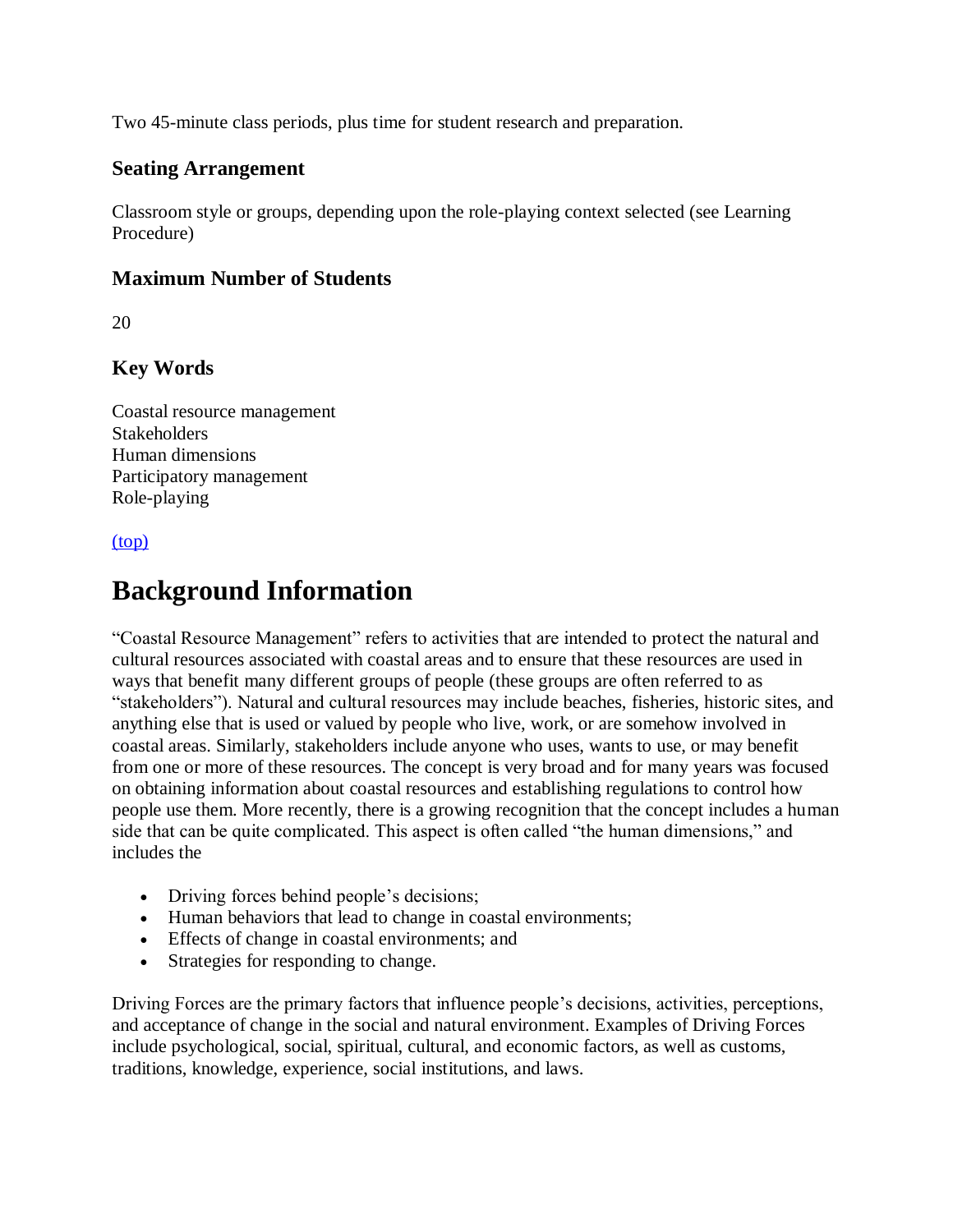Two 45-minute class periods, plus time for student research and preparation.

### **Seating Arrangement**

Classroom style or groups, depending upon the role-playing context selected (see Learning Procedure)

### **Maximum Number of Students**

20

### **Key Words**

Coastal resource management **Stakeholders** Human dimensions Participatory management Role-playing

#### [\(top\)](http://oceanservice.noaa.gov/education/lessons/#top)

### **Background Information**

"Coastal Resource Management" refers to activities that are intended to protect the natural and cultural resources associated with coastal areas and to ensure that these resources are used in ways that benefit many different groups of people (these groups are often referred to as "stakeholders"). Natural and cultural resources may include beaches, fisheries, historic sites, and anything else that is used or valued by people who live, work, or are somehow involved in coastal areas. Similarly, stakeholders include anyone who uses, wants to use, or may benefit from one or more of these resources. The concept is very broad and for many years was focused on obtaining information about coastal resources and establishing regulations to control how people use them. More recently, there is a growing recognition that the concept includes a human side that can be quite complicated. This aspect is often called "the human dimensions," and includes the

- Driving forces behind people's decisions;
- Human behaviors that lead to change in coastal environments;
- Effects of change in coastal environments; and
- Strategies for responding to change.

Driving Forces are the primary factors that influence people's decisions, activities, perceptions, and acceptance of change in the social and natural environment. Examples of Driving Forces include psychological, social, spiritual, cultural, and economic factors, as well as customs, traditions, knowledge, experience, social institutions, and laws.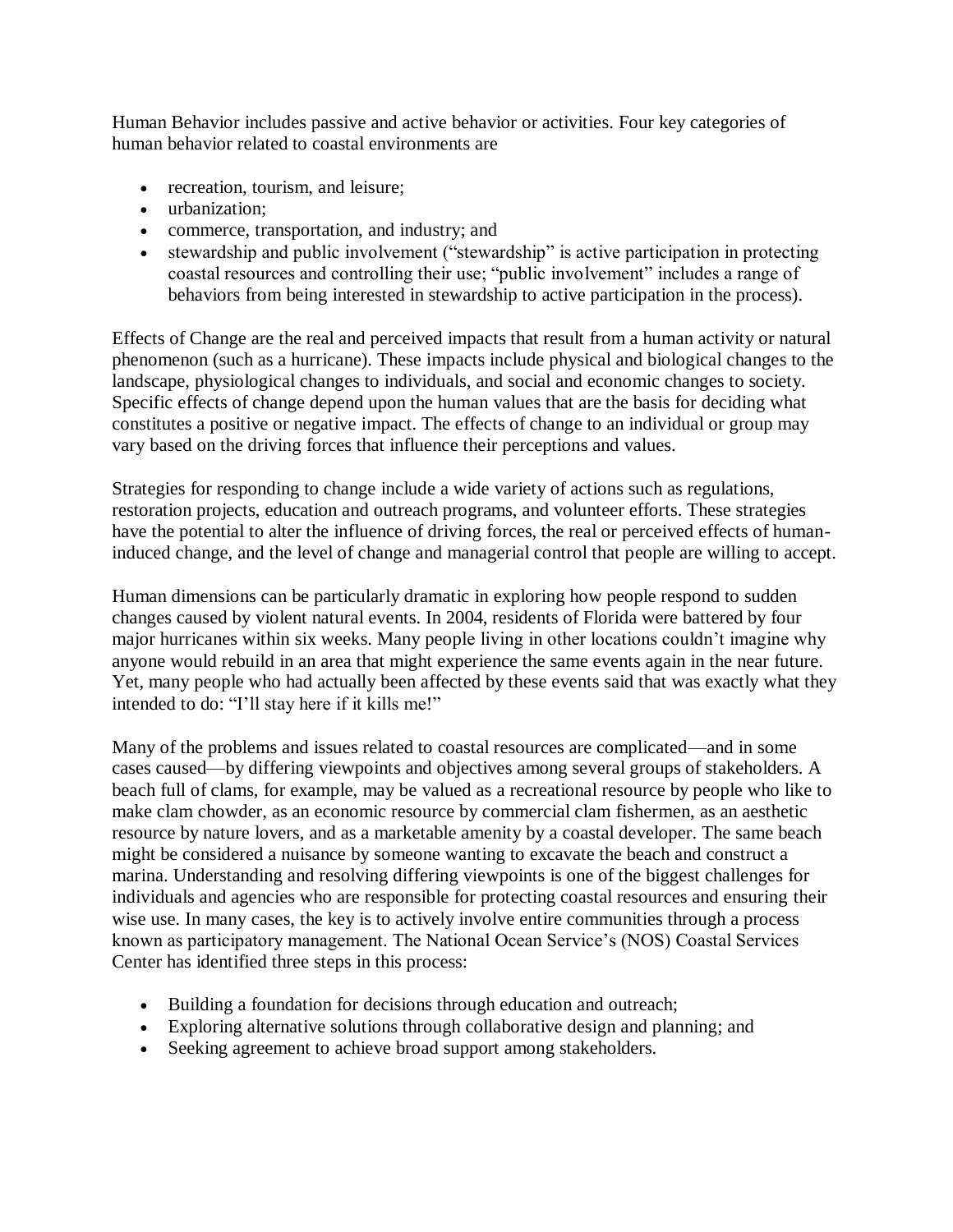Human Behavior includes passive and active behavior or activities. Four key categories of human behavior related to coastal environments are

- recreation, tourism, and leisure;
- urbanization:
- commerce, transportation, and industry; and
- stewardship and public involvement ("stewardship" is active participation in protecting coastal resources and controlling their use; "public involvement" includes a range of behaviors from being interested in stewardship to active participation in the process).

Effects of Change are the real and perceived impacts that result from a human activity or natural phenomenon (such as a hurricane). These impacts include physical and biological changes to the landscape, physiological changes to individuals, and social and economic changes to society. Specific effects of change depend upon the human values that are the basis for deciding what constitutes a positive or negative impact. The effects of change to an individual or group may vary based on the driving forces that influence their perceptions and values.

Strategies for responding to change include a wide variety of actions such as regulations, restoration projects, education and outreach programs, and volunteer efforts. These strategies have the potential to alter the influence of driving forces, the real or perceived effects of humaninduced change, and the level of change and managerial control that people are willing to accept.

Human dimensions can be particularly dramatic in exploring how people respond to sudden changes caused by violent natural events. In 2004, residents of Florida were battered by four major hurricanes within six weeks. Many people living in other locations couldn't imagine why anyone would rebuild in an area that might experience the same events again in the near future. Yet, many people who had actually been affected by these events said that was exactly what they intended to do: "I'll stay here if it kills me!"

Many of the problems and issues related to coastal resources are complicated—and in some cases caused—by differing viewpoints and objectives among several groups of stakeholders. A beach full of clams, for example, may be valued as a recreational resource by people who like to make clam chowder, as an economic resource by commercial clam fishermen, as an aesthetic resource by nature lovers, and as a marketable amenity by a coastal developer. The same beach might be considered a nuisance by someone wanting to excavate the beach and construct a marina. Understanding and resolving differing viewpoints is one of the biggest challenges for individuals and agencies who are responsible for protecting coastal resources and ensuring their wise use. In many cases, the key is to actively involve entire communities through a process known as participatory management. The National Ocean Service's (NOS) Coastal Services Center has identified three steps in this process:

- Building a foundation for decisions through education and outreach;
- Exploring alternative solutions through collaborative design and planning; and
- Seeking agreement to achieve broad support among stakeholders.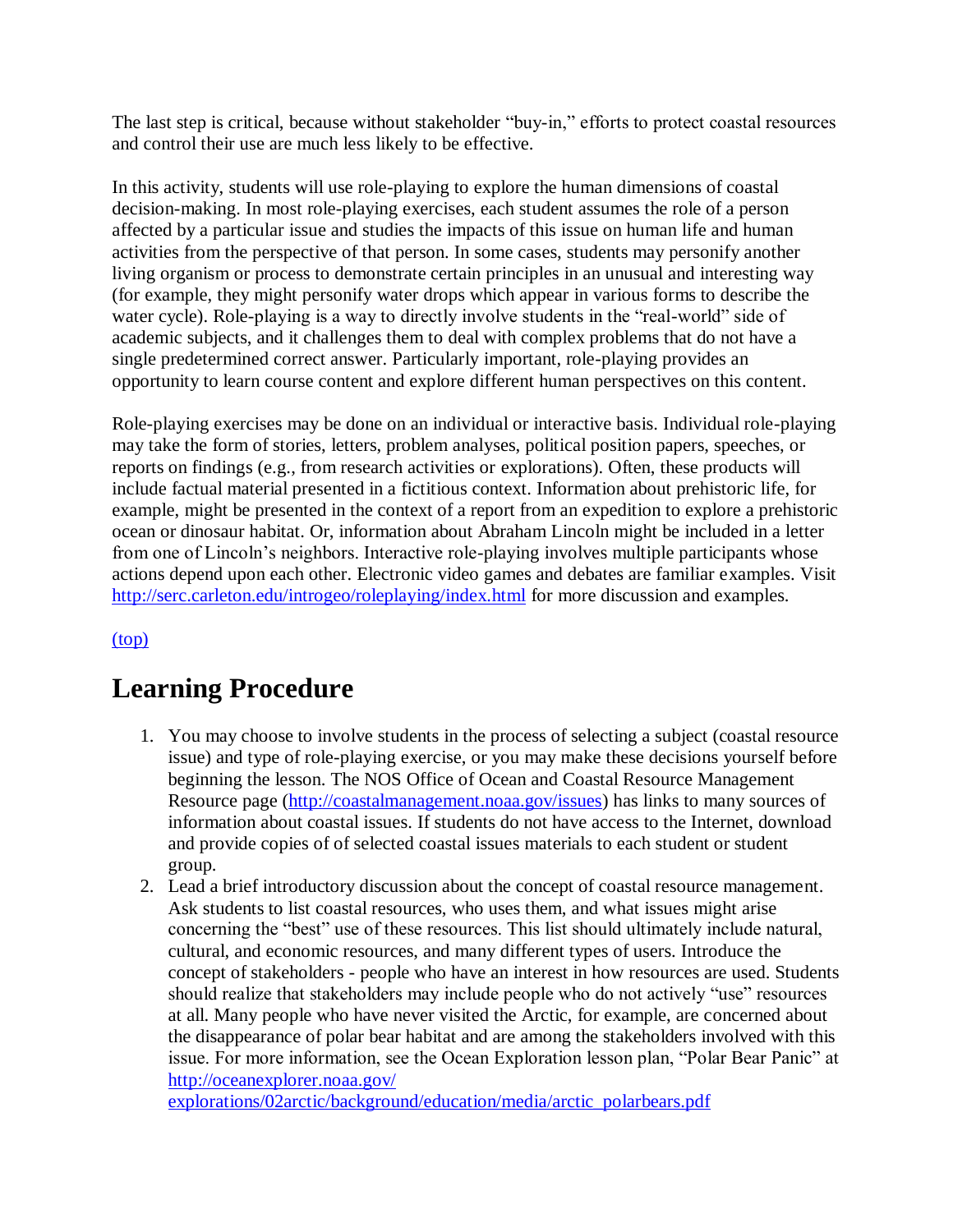The last step is critical, because without stakeholder "buy-in," efforts to protect coastal resources and control their use are much less likely to be effective.

In this activity, students will use role-playing to explore the human dimensions of coastal decision-making. In most role-playing exercises, each student assumes the role of a person affected by a particular issue and studies the impacts of this issue on human life and human activities from the perspective of that person. In some cases, students may personify another living organism or process to demonstrate certain principles in an unusual and interesting way (for example, they might personify water drops which appear in various forms to describe the water cycle). Role-playing is a way to directly involve students in the "real-world" side of academic subjects, and it challenges them to deal with complex problems that do not have a single predetermined correct answer. Particularly important, role-playing provides an opportunity to learn course content and explore different human perspectives on this content.

Role-playing exercises may be done on an individual or interactive basis. Individual role-playing may take the form of stories, letters, problem analyses, political position papers, speeches, or reports on findings (e.g., from research activities or explorations). Often, these products will include factual material presented in a fictitious context. Information about prehistoric life, for example, might be presented in the context of a report from an expedition to explore a prehistoric ocean or dinosaur habitat. Or, information about Abraham Lincoln might be included in a letter from one of Lincoln's neighbors. Interactive role-playing involves multiple participants whose actions depend upon each other. Electronic video games and debates are familiar examples. Visit [http://serc.carleton.edu/introgeo/roleplaying/index.html](http://oceanservice.noaa.gov/exit.php?url=http%3A%2F%2Fserc.carleton.edu%2Fintrogeo%2Froleplaying%2Findex.html) for more discussion and examples.

[\(top\)](http://oceanservice.noaa.gov/education/lessons/#top)

## **Learning Procedure**

- 1. You may choose to involve students in the process of selecting a subject (coastal resource issue) and type of role-playing exercise, or you may make these decisions yourself before beginning the lesson. The NOS Office of Ocean and Coastal Resource Management Resource page [\(http://coastalmanagement.noaa.gov/issues\)](http://coastalmanagement.noaa.gov/issues) has links to many sources of information about coastal issues. If students do not have access to the Internet, download and provide copies of of selected coastal issues materials to each student or student group.
- 2. Lead a brief introductory discussion about the concept of coastal resource management. Ask students to list coastal resources, who uses them, and what issues might arise concerning the "best" use of these resources. This list should ultimately include natural, cultural, and economic resources, and many different types of users. Introduce the concept of stakeholders - people who have an interest in how resources are used. Students should realize that stakeholders may include people who do not actively "use" resources at all. Many people who have never visited the Arctic, for example, are concerned about the disappearance of polar bear habitat and are among the stakeholders involved with this issue. For more information, see the Ocean Exploration lesson plan, "Polar Bear Panic" at [http://oceanexplorer.noaa.gov/](http://oceanexplorer.noaa.gov/explorations/02arctic/background/education/media/arctic_polarbears.pdf)

[explorations/02arctic/background/education/media/arctic\\_polarbears.pdf](http://oceanexplorer.noaa.gov/explorations/02arctic/background/education/media/arctic_polarbears.pdf)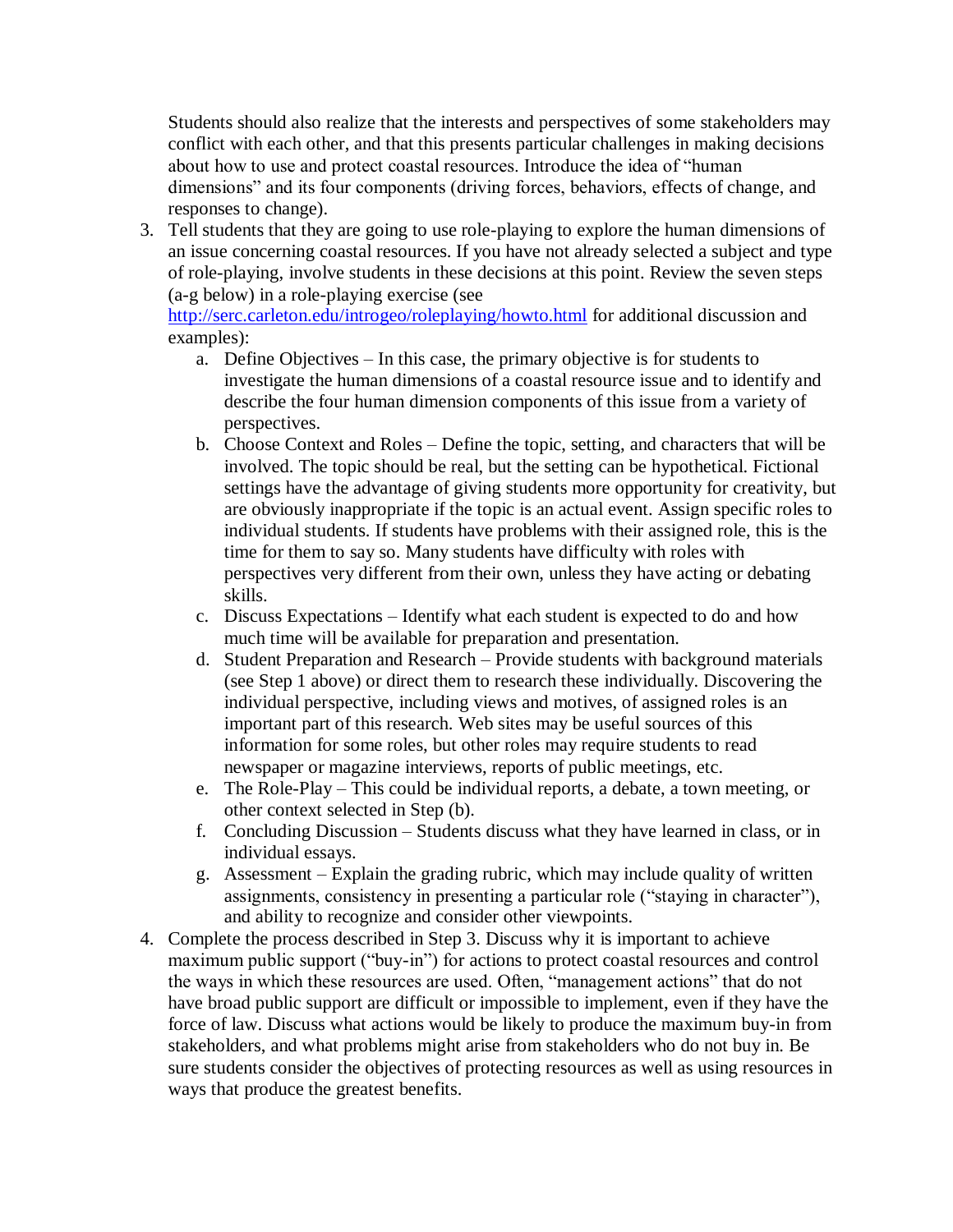Students should also realize that the interests and perspectives of some stakeholders may conflict with each other, and that this presents particular challenges in making decisions about how to use and protect coastal resources. Introduce the idea of "human dimensions" and its four components (driving forces, behaviors, effects of change, and responses to change).

3. Tell students that they are going to use role-playing to explore the human dimensions of an issue concerning coastal resources. If you have not already selected a subject and type of role-playing, involve students in these decisions at this point. Review the seven steps (a-g below) in a role-playing exercise (see

[http://serc.carleton.edu/introgeo/roleplaying/howto.html](http://oceanservice.noaa.gov/exit.php?url=http%3A%2F%2Fserc.carleton.edu%2Fintrogeo%2Froleplaying%2Fhowto.html) for additional discussion and examples):

- a. Define Objectives In this case, the primary objective is for students to investigate the human dimensions of a coastal resource issue and to identify and describe the four human dimension components of this issue from a variety of perspectives.
- b. Choose Context and Roles Define the topic, setting, and characters that will be involved. The topic should be real, but the setting can be hypothetical. Fictional settings have the advantage of giving students more opportunity for creativity, but are obviously inappropriate if the topic is an actual event. Assign specific roles to individual students. If students have problems with their assigned role, this is the time for them to say so. Many students have difficulty with roles with perspectives very different from their own, unless they have acting or debating skills.
- c. Discuss Expectations Identify what each student is expected to do and how much time will be available for preparation and presentation.
- d. Student Preparation and Research Provide students with background materials (see Step 1 above) or direct them to research these individually. Discovering the individual perspective, including views and motives, of assigned roles is an important part of this research. Web sites may be useful sources of this information for some roles, but other roles may require students to read newspaper or magazine interviews, reports of public meetings, etc.
- e. The Role-Play This could be individual reports, a debate, a town meeting, or other context selected in Step (b).
- f. Concluding Discussion Students discuss what they have learned in class, or in individual essays.
- g. Assessment Explain the grading rubric, which may include quality of written assignments, consistency in presenting a particular role ("staying in character"), and ability to recognize and consider other viewpoints.
- 4. Complete the process described in Step 3. Discuss why it is important to achieve maximum public support ("buy-in") for actions to protect coastal resources and control the ways in which these resources are used. Often, "management actions" that do not have broad public support are difficult or impossible to implement, even if they have the force of law. Discuss what actions would be likely to produce the maximum buy-in from stakeholders, and what problems might arise from stakeholders who do not buy in. Be sure students consider the objectives of protecting resources as well as using resources in ways that produce the greatest benefits.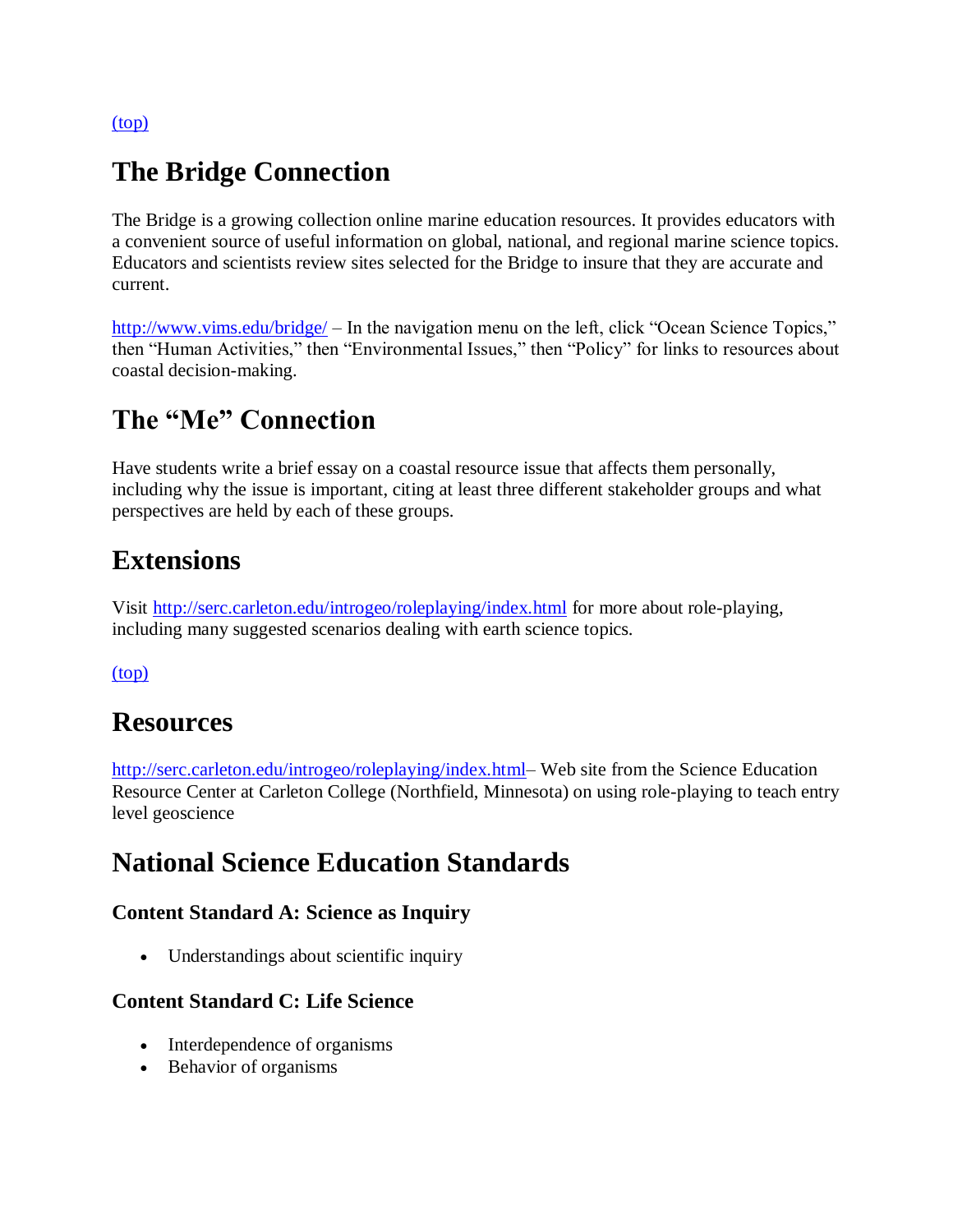[\(top\)](http://oceanservice.noaa.gov/education/lessons/#top)

### **The Bridge Connection**

The Bridge is a growing collection online marine education resources. It provides educators with a convenient source of useful information on global, national, and regional marine science topics. Educators and scientists review sites selected for the Bridge to insure that they are accurate and current.

[http://www.vims.edu/bridge/](http://oceanservice.noaa.gov/exit.php?url=http%3A%2F%2Fwww.vims.edu%2Fbridge%2F) – In the navigation menu on the left, click "Ocean Science Topics," then "Human Activities," then "Environmental Issues," then "Policy" for links to resources about coastal decision-making.

## **The "Me" Connection**

Have students write a brief essay on a coastal resource issue that affects them personally, including why the issue is important, citing at least three different stakeholder groups and what perspectives are held by each of these groups.

## **Extensions**

Visit [http://serc.carleton.edu/introgeo/roleplaying/index.html](http://oceanservice.noaa.gov/exit.php?url=http%3A%2F%2Fserc.carleton.edu%2Fintrogeo%2Froleplaying%2Findex.html) for more about role-playing, including many suggested scenarios dealing with earth science topics.

[\(top\)](http://oceanservice.noaa.gov/education/lessons/#top)

### **Resources**

http://serc.carleton.edu/introgeo/roleplaying/index.html— Web site from the Science Education Resource Center at Carleton College (Northfield, Minnesota) on using role-playing to teach entry level geoscience

## **National Science Education Standards**

### **Content Standard A: Science as Inquiry**

• Understandings about scientific inquiry

### **Content Standard C: Life Science**

- Interdependence of organisms
- Behavior of organisms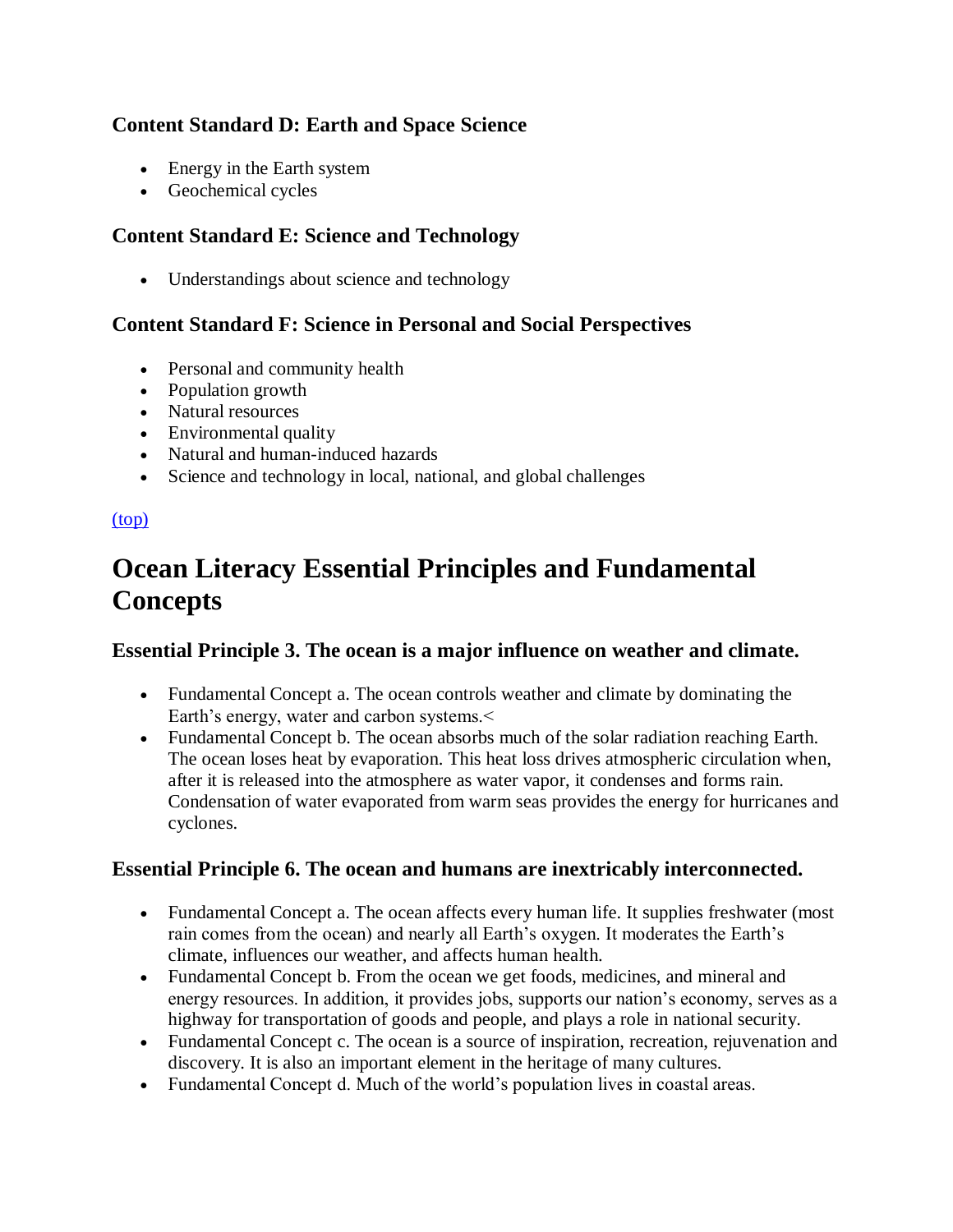### **Content Standard D: Earth and Space Science**

- Energy in the Earth system
- Geochemical cycles

### **Content Standard E: Science and Technology**

• Understandings about science and technology

### **Content Standard F: Science in Personal and Social Perspectives**

- Personal and community health
- Population growth
- Natural resources
- Environmental quality
- Natural and human-induced hazards
- Science and technology in local, national, and global challenges

### [\(top\)](http://oceanservice.noaa.gov/education/lessons/#top)

## **Ocean Literacy Essential Principles and Fundamental Concepts**

### **Essential Principle 3. The ocean is a major influence on weather and climate.**

- Fundamental Concept a. The ocean controls weather and climate by dominating the Earth's energy, water and carbon systems.<
- Fundamental Concept b. The ocean absorbs much of the solar radiation reaching Earth. The ocean loses heat by evaporation. This heat loss drives atmospheric circulation when, after it is released into the atmosphere as water vapor, it condenses and forms rain. Condensation of water evaporated from warm seas provides the energy for hurricanes and cyclones.

### **Essential Principle 6. The ocean and humans are inextricably interconnected.**

- Fundamental Concept a. The ocean affects every human life. It supplies freshwater (most rain comes from the ocean) and nearly all Earth's oxygen. It moderates the Earth's climate, influences our weather, and affects human health.
- Fundamental Concept b. From the ocean we get foods, medicines, and mineral and energy resources. In addition, it provides jobs, supports our nation's economy, serves as a highway for transportation of goods and people, and plays a role in national security.
- Fundamental Concept c. The ocean is a source of inspiration, recreation, rejuvenation and discovery. It is also an important element in the heritage of many cultures.
- Fundamental Concept d. Much of the world's population lives in coastal areas.